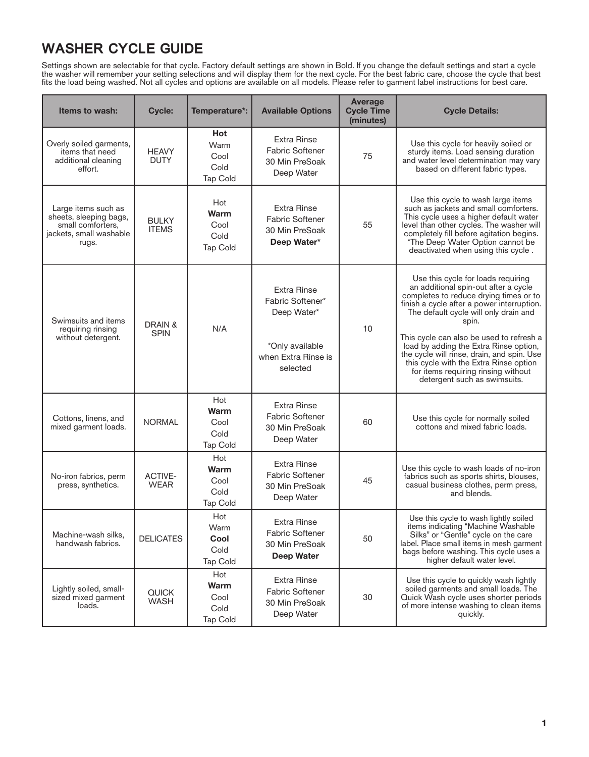## **WASHER CYCLE GUIDE**

Settings shown are selectable for that cycle. Factory default settings are shown in Bold. If you change the default settings and start a cycle the washer will remember your setting selections and will display them for the next cycle. For the best fabric care, choose the cycle that best fits the load being washed. Not all cycles and options are available on all models. Please refer to garment label instructions for best care.

| <b>Items to wash:</b>                                                                                  | <b>Cycle:</b>                 | Temperature*:                                         | <b>Available Options</b>                                                                                    | <b>Average</b><br><b>Cycle Time</b><br>(minutes) | <b>Cycle Details:</b>                                                                                                                                                                                                                                                                                                                                                                                                                                                     |
|--------------------------------------------------------------------------------------------------------|-------------------------------|-------------------------------------------------------|-------------------------------------------------------------------------------------------------------------|--------------------------------------------------|---------------------------------------------------------------------------------------------------------------------------------------------------------------------------------------------------------------------------------------------------------------------------------------------------------------------------------------------------------------------------------------------------------------------------------------------------------------------------|
| Overly soiled garments,<br>items that need<br>additional cleaning<br>effort.                           | <b>HEAVY</b><br><b>DUTY</b>   | <b>Hot</b><br>Warm<br>Cool<br>Cold<br><b>Tap Cold</b> | <b>Extra Rinse</b><br><b>Fabric Softener</b><br>30 Min PreSoak<br>Deep Water                                | 75                                               | Use this cycle for heavily soiled or<br>sturdy items. Load sensing duration<br>and water level determination may vary<br>based on different fabric types.                                                                                                                                                                                                                                                                                                                 |
| Large items such as<br>sheets, sleeping bags,<br>small comforters.<br>jackets, small washable<br>rugs. | <b>BULKY</b><br><b>ITEMS</b>  | Hot<br>Warm<br>Cool<br>Cold<br><b>Tap Cold</b>        | <b>Extra Rinse</b><br><b>Fabric Softener</b><br>30 Min PreSoak<br>Deep Water*                               | 55                                               | Use this cycle to wash large items<br>such as jackets and small comforters.<br>This cycle uses a higher default water<br>level than other cycles. The washer will<br>completely fill before agitation begins.<br>*The Deep Water Option cannot be<br>deactivated when using this cycle.                                                                                                                                                                                   |
| Swimsuits and items<br>requiring rinsing<br>without detergent.                                         | DRAIN &<br><b>SPIN</b>        | N/A                                                   | <b>Extra Rinse</b><br>Fabric Softener*<br>Deep Water*<br>*Only available<br>when Extra Rinse is<br>selected | 10                                               | Use this cycle for loads requiring<br>an additional spin-out after a cycle<br>completes to reduce drying times or to<br>finish a cycle after a power interruption.<br>The default cycle will only drain and<br>spin.<br>This cycle can also be used to refresh a<br>load by adding the Extra Rinse option,<br>the cycle will rinse, drain, and spin. Use<br>this cycle with the Extra Rinse option<br>for items requiring rinsing without<br>detergent such as swimsuits. |
| Cottons, linens, and<br>mixed garment loads.                                                           | <b>NORMAL</b>                 | Hot<br>Warm<br>Cool<br>Cold<br>Tap Cold               | <b>Extra Rinse</b><br><b>Fabric Softener</b><br>30 Min PreSoak<br>Deep Water                                | 60                                               | Use this cycle for normally soiled<br>cottons and mixed fabric loads.                                                                                                                                                                                                                                                                                                                                                                                                     |
| No-iron fabrics, perm<br>press, synthetics.                                                            | <b>ACTIVE-</b><br><b>WEAR</b> | Hot<br>Warm<br>Cool<br>Cold<br><b>Tap Cold</b>        | <b>Extra Rinse</b><br><b>Fabric Softener</b><br>30 Min PreSoak<br>Deep Water                                | 45                                               | Use this cycle to wash loads of no-iron<br>fabrics such as sports shirts, blouses,<br>casual business clothes, perm press,<br>and blends.                                                                                                                                                                                                                                                                                                                                 |
| Machine-wash silks,<br>handwash fabrics.                                                               | <b>DELICATES</b>              | Hot<br>Warm<br>Cool<br>Cold<br><b>Tap Cold</b>        | <b>Extra Rinse</b><br><b>Fabric Softener</b><br>30 Min PreSoak<br><b>Deep Water</b>                         | 50                                               | Use this cycle to wash lightly soiled<br>items indicating "Machine Washable<br>Silks" or "Gentle" cycle on the care<br>label. Place small items in mesh garment<br>bags before washing. This cycle uses a<br>higher default water level.                                                                                                                                                                                                                                  |
| Lightly soiled, small-<br>sized mixed garment<br>loads.                                                | <b>QUICK</b><br><b>WASH</b>   | Hot<br>Warm<br>Cool<br>Cold<br><b>Tap Cold</b>        | <b>Extra Rinse</b><br><b>Fabric Softener</b><br>30 Min PreSoak<br>Deep Water                                | 30                                               | Use this cycle to quickly wash lightly<br>soiled garments and small loads. The<br>Quick Wash cycle uses shorter periods<br>of more intense washing to clean items<br>quickly.                                                                                                                                                                                                                                                                                             |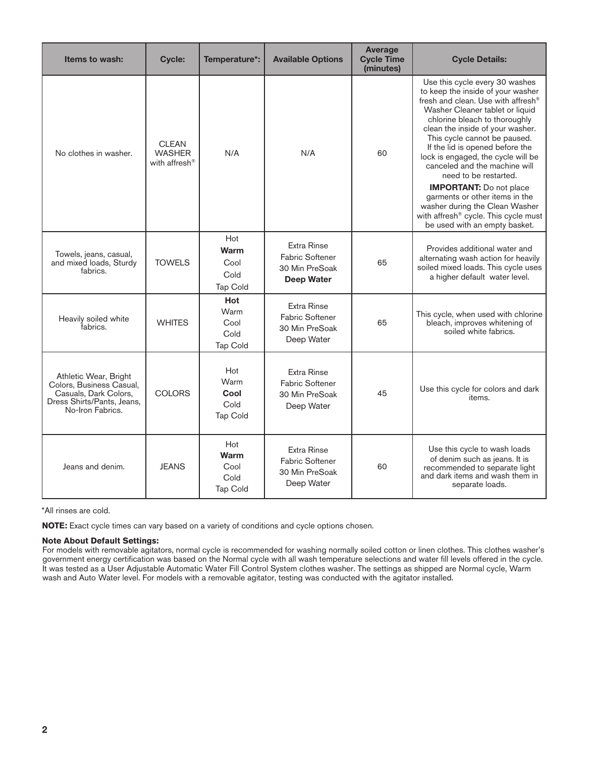| Items to wash:                                                                                                               | <b>Cycle:</b>                                              | Temperature*:                                  | <b>Available Options</b>                                              | Average<br><b>Cycle Time</b><br>(minutes) | <b>Cycle Details:</b>                                                                                                                                                                                                                                                                                                                                                                |
|------------------------------------------------------------------------------------------------------------------------------|------------------------------------------------------------|------------------------------------------------|-----------------------------------------------------------------------|-------------------------------------------|--------------------------------------------------------------------------------------------------------------------------------------------------------------------------------------------------------------------------------------------------------------------------------------------------------------------------------------------------------------------------------------|
| No clothes in washer.                                                                                                        | <b>CLEAN</b><br><b>WASHER</b><br>with affresh <sup>®</sup> | N/A                                            | N/A                                                                   | 60                                        | Use this cycle every 30 washes<br>to keep the inside of your washer<br>fresh and clean. Use with affresh®<br>Washer Cleaner tablet or liquid<br>chlorine bleach to thoroughly<br>clean the inside of your washer.<br>This cycle cannot be paused.<br>If the lid is opened before the<br>lock is engaged, the cycle will be<br>canceled and the machine will<br>need to be restarted. |
|                                                                                                                              |                                                            |                                                |                                                                       |                                           | <b>IMPORTANT:</b> Do not place<br>garments or other items in the<br>washer during the Clean Washer<br>with affresh <sup>®</sup> cycle. This cycle must<br>be used with an empty basket.                                                                                                                                                                                              |
| Towels, jeans, casual,<br>and mixed loads, Sturdy<br>fabrics.                                                                | <b>TOWELS</b>                                              | Hot<br>Warm<br>Cool<br>Cold<br><b>Tap Cold</b> | <b>Extra Rinse</b><br>Fabric Softener<br>30 Min PreSoak<br>Deep Water | 65                                        | Provides additional water and<br>alternating wash action for heavily<br>soiled mixed loads. This cycle uses<br>a higher default water level.                                                                                                                                                                                                                                         |
| Heavily soiled white<br>fabrics.                                                                                             | <b>WHITES</b>                                              | Hot<br>Warm<br>Cool<br>Cold<br><b>Tap Cold</b> | <b>Extra Rinse</b><br>Fabric Softener<br>30 Min PreSoak<br>Deep Water | 65                                        | This cycle, when used with chlorine<br>bleach, improves whitening of<br>soiled white fabrics.                                                                                                                                                                                                                                                                                        |
| Athletic Wear, Bright<br>Colors, Business Casual,<br>Casuals, Dark Colors,<br>Dress Shirts/Pants, Jeans,<br>No-Iron Fabrics. | <b>COLORS</b>                                              | Hot<br>Warm<br>Cool<br>Cold<br>Tap Cold        | Extra Rinse<br><b>Fabric Softener</b><br>30 Min PreSoak<br>Deep Water | 45                                        | Use this cycle for colors and dark<br>items.                                                                                                                                                                                                                                                                                                                                         |
| Jeans and denim.                                                                                                             | <b>JEANS</b>                                               | Hot<br>Warm<br>Cool<br>Cold<br><b>Tap Cold</b> | Extra Rinse<br><b>Fabric Softener</b><br>30 Min PreSoak<br>Deep Water | 60                                        | Use this cycle to wash loads<br>of denim such as jeans. It is<br>recommended to separate light<br>and dark items and wash them in<br>separate loads.                                                                                                                                                                                                                                 |

\*All rinses are cold.

**NOTE:** Exact cycle times can vary based on a variety of conditions and cycle options chosen.

## **Note About Default Settings:**

For models with removable agitators, normal cycle is recommended for washing normally soiled cotton or linen clothes. This clothes washer's government energy certification was based on the Normal cycle with all wash temperature selections and water fill levels offered in the cycle. It was tested as a User Adjustable Automatic Water Fill Control System clothes washer. The settings as shipped are Normal cycle, Warm wash and Auto Water level. For models with a removable agitator, testing was conducted with the agitator installed.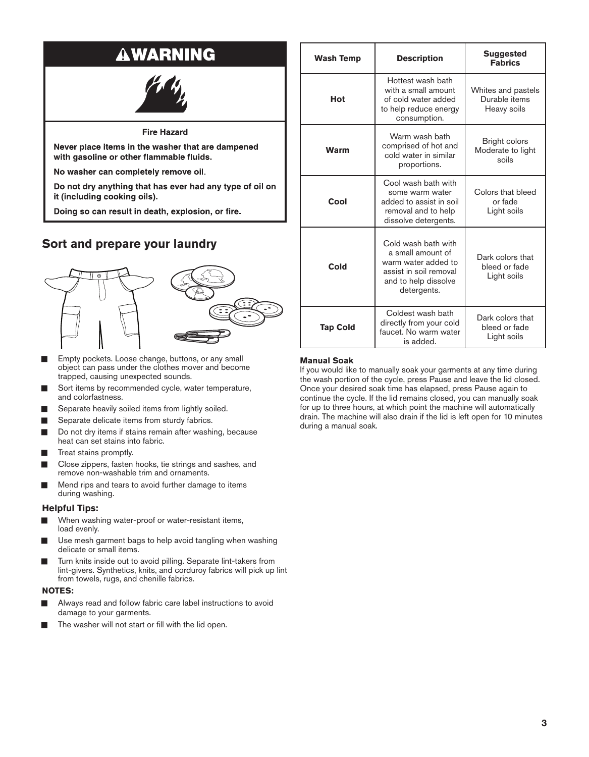## **AWARNING**

**Fire Hazard** 

Never place items in the washer that are dampened with gasoline or other flammable fluids.

No washer can completely remove oil.

Do not dry anything that has ever had any type of oil on it (including cooking oils).

Doing so can result in death, explosion, or fire.

## **Sort and prepare your laundry**



- Empty pockets. Loose change, buttons, or any small object can pass under the clothes mover and become trapped, causing unexpected sounds.
- Sort items by recommended cycle, water temperature, and colorfastness.
- Separate heavily soiled items from lightly soiled.
- Separate delicate items from sturdy fabrics.
- Do not dry items if stains remain after washing, because heat can set stains into fabric.
- **■** Treat stains promptly.
- Close zippers, fasten hooks, tie strings and sashes, and remove non-washable trim and ornaments.
- Mend rips and tears to avoid further damage to items during washing.

## **Helpful Tips:**

- When washing water-proof or water-resistant items, load evenly.
- Use mesh garment bags to help avoid tangling when washing delicate or small items.
- Turn knits inside out to avoid pilling. Separate lint-takers from lint-givers. Synthetics, knits, and corduroy fabrics will pick up lint from towels, rugs, and chenille fabrics.

## **NOTES:**

- Always read and follow fabric care label instructions to avoid damage to your garments.
- The washer will not start or fill with the lid open.

| <b>Wash Temp</b> | <b>Description</b>                                                                                                               | <b>Suggested</b><br><b>Fabrics</b>                 |
|------------------|----------------------------------------------------------------------------------------------------------------------------------|----------------------------------------------------|
| Hot              | Hottest wash bath<br>with a small amount<br>of cold water added<br>to help reduce energy<br>consumption.                         | Whites and pastels<br>Durable items<br>Heavy soils |
| <b>Warm</b>      | Warm wash bath<br>comprised of hot and<br>cold water in similar<br>proportions.                                                  | Bright colors<br>Moderate to light<br>soils        |
| Cool             | Cool wash bath with<br>some warm water<br>added to assist in soil<br>removal and to help<br>dissolve detergents.                 | Colors that bleed<br>or fade<br>Light soils        |
| Cold             | Cold wash bath with<br>a small amount of<br>warm water added to<br>assist in soil removal<br>and to help dissolve<br>detergents. | Dark colors that<br>bleed or fade<br>Light soils   |
| <b>Tap Cold</b>  | Coldest wash bath<br>directly from your cold<br>faucet. No warm water<br>is added.                                               | Dark colors that<br>bleed or fade<br>Light soils   |

### **Manual Soak**

If you would like to manually soak your garments at any time during the wash portion of the cycle, press Pause and leave the lid closed. Once your desired soak time has elapsed, press Pause again to continue the cycle. If the lid remains closed, you can manually soak for up to three hours, at which point the machine will automatically drain. The machine will also drain if the lid is left open for 10 minutes during a manual soak.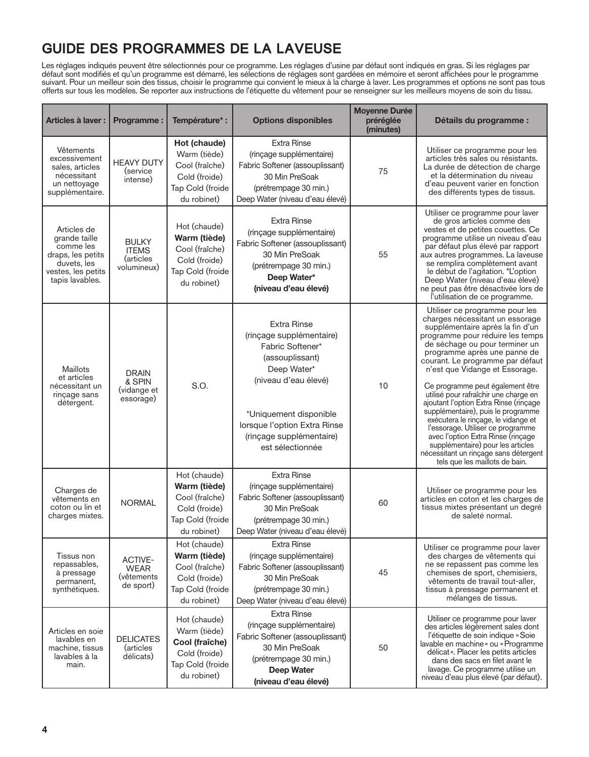## **GUIDE DES PROGRAMMES DE LA LAVEUSE**

Les réglages indiqués peuvent être sélectionnés pour ce programme. Les réglages d'usine par défaut sont indiqués en gras. Si les réglages par défaut sont modifiés et qu'un programme est démarré, les sélections de réglages sont gardées en mémoire et seront affichées pour le programme suivant. Pour un meilleur soin des tissus, choisir le programme qui convient le mieux à la charge à laver. Les programmes et options ne sont pas tous offerts sur tous les modèles. Se reporter aux instructions de l'étiquette du vêtement pour se renseigner sur les meilleurs moyens de soin du tissu.

| Articles à laver :                                                                                                     | <b>Programme:</b>                                        | Température* :                                                                                     | <b>Options disponibles</b>                                                                                                                                                                                                             | <b>Moyenne Durée</b><br>préréglée<br>(minutes) | Détails du programme :                                                                                                                                                                                                                                                                                                                                                                                                                                                                                                                                                                                                                                                           |
|------------------------------------------------------------------------------------------------------------------------|----------------------------------------------------------|----------------------------------------------------------------------------------------------------|----------------------------------------------------------------------------------------------------------------------------------------------------------------------------------------------------------------------------------------|------------------------------------------------|----------------------------------------------------------------------------------------------------------------------------------------------------------------------------------------------------------------------------------------------------------------------------------------------------------------------------------------------------------------------------------------------------------------------------------------------------------------------------------------------------------------------------------------------------------------------------------------------------------------------------------------------------------------------------------|
| Vêtements<br>excessivement<br>sales, articles<br>nécessitant<br>un nettoyage<br>supplémentaire.                        | <b>HEAVY DUTY</b><br>(service<br>intense)                | Hot (chaude)<br>Warm (tiède)<br>Cool (fraîche)<br>Cold (froide)<br>Tap Cold (froide<br>du robinet) | <b>Extra Rinse</b><br>(rinçage supplémentaire)<br>Fabric Softener (assouplissant)<br>30 Min PreSoak<br>(prétrempage 30 min.)<br>Deep Water (niveau d'eau élevé)                                                                        | 75                                             | Utiliser ce programme pour les<br>articles très sales ou résistants.<br>La durée de détection de charge<br>et la détermination du niveau<br>d'eau peuvent varier en fonction<br>des différents types de tissus.                                                                                                                                                                                                                                                                                                                                                                                                                                                                  |
| Articles de<br>grande taille<br>comme les<br>draps, les petits<br>duvets, les<br>vestes, les petits<br>tapis lavables. | <b>BULKY</b><br><b>ITEMS</b><br>(articles<br>volumineux) | Hot (chaude)<br>Warm (tiède)<br>Cool (fraîche)<br>Cold (froide)<br>Tap Cold (froide<br>du robinet) | <b>Extra Rinse</b><br>(rinçage supplémentaire)<br>Fabric Softener (assouplissant)<br>30 Min PreSoak<br>(prétrempage 30 min.)<br>Deep Water*<br>(niveau d'eau élevé)                                                                    | 55                                             | Utiliser ce programme pour laver<br>de gros articles comme des<br>vestes et de petites couettes. Ce<br>programme utilise un niveau d'eau<br>par défaut plus élevé par rapport<br>aux autres programmes. La laveuse<br>se remplira complètement avant<br>le début de l'agitation. *L'option<br>Deep Water (niveau d'eau élevé)<br>ne peut pas être désactivée lors de<br>l'utilisation de ce programme.                                                                                                                                                                                                                                                                           |
| Maillots<br>et articles<br>nécessitant un<br>rinçage sans<br>détergent.                                                | <b>DRAIN</b><br>& SPIN<br>(vidange et<br>essorage)       | S.O.                                                                                               | <b>Extra Rinse</b><br>(rinçage supplémentaire)<br>Fabric Softener*<br>(assouplissant)<br>Deep Water*<br>(niveau d'eau élevé)<br>*Uniquement disponible<br>lorsque l'option Extra Rinse<br>(rinçage supplémentaire)<br>est sélectionnée | 10                                             | Utiliser ce programme pour les<br>charges nécessitant un essorage<br>supplémentaire après la fin d'un<br>programme pour réduire les temps<br>de séchage ou pour terminer un<br>programme après une panne de<br>courant. Le programme par défaut<br>n'est que Vidange et Essorage.<br>Ce programme peut également être<br>utilisé pour rafraîchir une charge en<br>ajoutant l'option Extra Rinse (rinçage<br>supplémentaire), puis le programme<br>exécutera le rinçage, le vidange et<br>l'essorage. Utiliser ce programme<br>avec l'option Extra Rinse (rinçage<br>supplémentaire) pour les articles<br>nécessitant un rinçage sans détergent<br>tels que les maillots de bain. |
| Charges de<br>vêtements en<br>coton ou lin et<br>charges mixtes.                                                       | <b>NORMAL</b>                                            | Hot (chaude)<br>Warm (tiède)<br>Cool (fraîche)<br>Cold (froide)<br>Tap Cold (froide<br>du robinet) | <b>Extra Rinse</b><br>(rinçage supplémentaire)<br>Fabric Softener (assouplissant)<br>30 Min PreSoak<br>(prétrempage 30 min.)<br>Deep Water (niveau d'eau élevé)                                                                        | 60                                             | Utiliser ce programme pour les<br>articles en coton et les charges de<br>tissus mixtes présentant un degré<br>de saleté normal.                                                                                                                                                                                                                                                                                                                                                                                                                                                                                                                                                  |
| Tissus non<br>repassables,<br>à pressage<br>permanent,<br>synthétiques.                                                | <b>ACTIVE-</b><br><b>WEAR</b><br>(vêtements<br>de sport) | Hot (chaude)<br>Warm (tiède)<br>Cool (fraîche)<br>Cold (froide)<br>Tap Cold (froide<br>du robinet) | <b>Extra Rinse</b><br>(rinçage supplémentaire)<br>Fabric Softener (assouplissant)<br>30 Min PreSoak<br>(prétrempage 30 min.)<br>Deep Water (niveau d'eau élevé)                                                                        | 45                                             | Utiliser ce programme pour laver<br>des charges de vêtements qui<br>ne se repassent pas comme les<br>chemises de sport, chemisiers,<br>vêtements de travail tout-aller,<br>tissus à pressage permanent et<br>mélanges de tissus.                                                                                                                                                                                                                                                                                                                                                                                                                                                 |
| Articles en soie<br>lavables en<br>machine, tissus<br>lavables à la<br>main.                                           | <b>DELICATES</b><br>(articles<br>délicats)               | Hot (chaude)<br>Warm (tiède)<br>Cool (fraîche)<br>Cold (froide)<br>Tap Cold (froide<br>du robinet) | <b>Extra Rinse</b><br>(rinçage supplémentaire)<br>Fabric Softener (assouplissant)<br>30 Min PreSoak<br>(prétrempage 30 min.)<br><b>Deep Water</b><br>(niveau d'eau élevé)                                                              | 50                                             | Utiliser ce programme pour laver<br>des articles légèrement sales dont<br>l'étiquette de soin indique « Soie<br>lavable en machine » ou «Programme<br>délicat». Placer les petits articles<br>dans des sacs en filet avant le<br>lavage. Ce programme utilise un<br>niveau d'eau plus élevé (par défaut).                                                                                                                                                                                                                                                                                                                                                                        |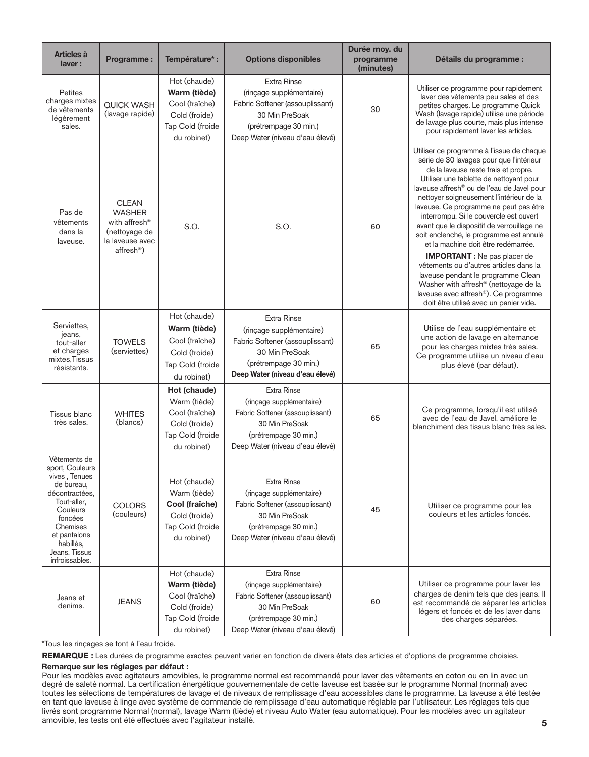| Articles à<br>laver:                                                                                                                                                                               | Programme:                                                                                                               | Température* :                                                                                     | <b>Options disponibles</b>                                                                                                                                      | Durée moy. du<br>programme<br>(minutes) | Détails du programme :                                                                                                                                                                                                                                                                                                                                                                                                                                                                                                                                                                                                                                                                                                                   |
|----------------------------------------------------------------------------------------------------------------------------------------------------------------------------------------------------|--------------------------------------------------------------------------------------------------------------------------|----------------------------------------------------------------------------------------------------|-----------------------------------------------------------------------------------------------------------------------------------------------------------------|-----------------------------------------|------------------------------------------------------------------------------------------------------------------------------------------------------------------------------------------------------------------------------------------------------------------------------------------------------------------------------------------------------------------------------------------------------------------------------------------------------------------------------------------------------------------------------------------------------------------------------------------------------------------------------------------------------------------------------------------------------------------------------------------|
| Petites<br>charges mixtes<br>de vêtements<br>légèrement<br>sales.                                                                                                                                  | <b>QUICK WASH</b><br>(lavage rapide)                                                                                     | Hot (chaude)<br>Warm (tiède)<br>Cool (fraîche)<br>Cold (froide)<br>Tap Cold (froide<br>du robinet) | <b>Extra Rinse</b><br>(rinçage supplémentaire)<br>Fabric Softener (assouplissant)<br>30 Min PreSoak<br>(prétrempage 30 min.)<br>Deep Water (niveau d'eau élevé) | 30                                      | Utiliser ce programme pour rapidement<br>laver des vêtements peu sales et des<br>petites charges. Le programme Quick<br>Wash (lavage rapide) utilise une période<br>de lavage plus courte, mais plus intense<br>pour rapidement laver les articles.                                                                                                                                                                                                                                                                                                                                                                                                                                                                                      |
| Pas de<br>vêtements<br>dans la<br>laveuse.                                                                                                                                                         | <b>CLEAN</b><br><b>WASHER</b><br>with affresh <sup>®</sup><br>(nettoyage de<br>la laveuse avec<br>affresh <sup>®</sup> ) | S.O.                                                                                               | S.O.                                                                                                                                                            | 60                                      | Utiliser ce programme à l'issue de chaque<br>série de 30 lavages pour que l'intérieur<br>de la laveuse reste frais et propre.<br>Utiliser une tablette de nettoyant pour<br>laveuse affresh® ou de l'eau de Javel pour<br>nettoyer soigneusement l'intérieur de la<br>laveuse. Ce programme ne peut pas être<br>interrompu. Si le couvercle est ouvert<br>avant que le dispositif de verrouillage ne<br>soit enclenché, le programme est annulé<br>et la machine doit être redémarrée.<br><b>IMPORTANT</b> : Ne pas placer de<br>vêtements ou d'autres articles dans la<br>laveuse pendant le programme Clean<br>Washer with affresh® (nettoyage de la<br>laveuse avec affresh®). Ce programme<br>doit être utilisé avec un panier vide. |
| Serviettes,<br>jeans,<br>tout-aller<br>et charges<br>mixtes, Tissus<br>résistants.                                                                                                                 | <b>TOWELS</b><br>(serviettes)                                                                                            | Hot (chaude)<br>Warm (tiède)<br>Cool (fraîche)<br>Cold (froide)<br>Tap Cold (froide<br>du robinet) | <b>Extra Rinse</b><br>(rinçage supplémentaire)<br>Fabric Softener (assouplissant)<br>30 Min PreSoak<br>(prétrempage 30 min.)<br>Deep Water (niveau d'eau élevé) | 65                                      | Utilise de l'eau supplémentaire et<br>une action de lavage en alternance<br>pour les charges mixtes très sales.<br>Ce programme utilise un niveau d'eau<br>plus élevé (par défaut).                                                                                                                                                                                                                                                                                                                                                                                                                                                                                                                                                      |
| Tissus blanc<br>très sales.                                                                                                                                                                        | <b>WHITES</b><br>(blancs)                                                                                                | Hot (chaude)<br>Warm (tiède)<br>Cool (fraîche)<br>Cold (froide)<br>Tap Cold (froide<br>du robinet) | <b>Extra Rinse</b><br>(rinçage supplémentaire)<br>Fabric Softener (assouplissant)<br>30 Min PreSoak<br>(prétrempage 30 min.)<br>Deep Water (niveau d'eau élevé) | 65                                      | Ce programme, lorsqu'il est utilisé<br>avec de l'eau de Javel, améliore le<br>blanchiment des tissus blanc très sales.                                                                                                                                                                                                                                                                                                                                                                                                                                                                                                                                                                                                                   |
| Vêtements de<br>sport, Couleurs<br>vives, Tenues<br>de bureau,<br>décontractées,<br>Tout-aller,<br>Couleurs<br>foncées<br>Chemises<br>et pantalons<br>habillés,<br>Jeans, Tissus<br>infroissables. | <b>COLORS</b><br>(couleurs)                                                                                              | Hot (chaude)<br>Warm (tiède)<br>Cool (fraîche)<br>Cold (froide)<br>Tap Cold (froide<br>du robinet) | <b>Extra Rinse</b><br>(rinçage supplémentaire)<br>Fabric Softener (assouplissant)<br>30 Min PreSoak<br>(prétrempage 30 min.)<br>Deep Water (niveau d'eau élevé) | 45                                      | Utiliser ce programme pour les<br>couleurs et les articles foncés.                                                                                                                                                                                                                                                                                                                                                                                                                                                                                                                                                                                                                                                                       |
| Jeans et<br>denims.                                                                                                                                                                                | <b>JEANS</b>                                                                                                             | Hot (chaude)<br>Warm (tiède)<br>Cool (fraîche)<br>Cold (froide)<br>Tap Cold (froide<br>du robinet) | <b>Extra Rinse</b><br>(rinçage supplémentaire)<br>Fabric Softener (assouplissant)<br>30 Min PreSoak<br>(prétrempage 30 min.)<br>Deep Water (niveau d'eau élevé) | 60                                      | Utiliser ce programme pour laver les<br>charges de denim tels que des jeans. Il<br>est recommandé de séparer les articles<br>légers et foncés et de les laver dans<br>des charges séparées.                                                                                                                                                                                                                                                                                                                                                                                                                                                                                                                                              |

\*Tous les rinçages se font à l'eau froide.

**REMARQUE :** Les durées de programme exactes peuvent varier en fonction de divers états des articles et d'options de programme choisies.

### Remarque sur les réglages par défaut :

Pour les modèles avec agitateurs amovibles, le programme normal est recommandé pour laver des vêtements en coton ou en lin avec un degré de saleté normal. La certification énergétique gouvernementale de cette laveuse est basée sur le programme Normal (normal) avec toutes les sélections de températures de lavage et de niveaux de remplissage d'eau accessibles dans le programme. La laveuse a été testée en tant que laveuse à linge avec système de commande de remplissage d'eau automatique réglable par l'utilisateur. Les réglages tels que livrés sont programme Normal (normal), lavage Warm (tiède) et niveau Auto Water (eau automatique). Pour les modèles avec un agitateur amovible, les tests ont été effectués avec l'agitateur installé.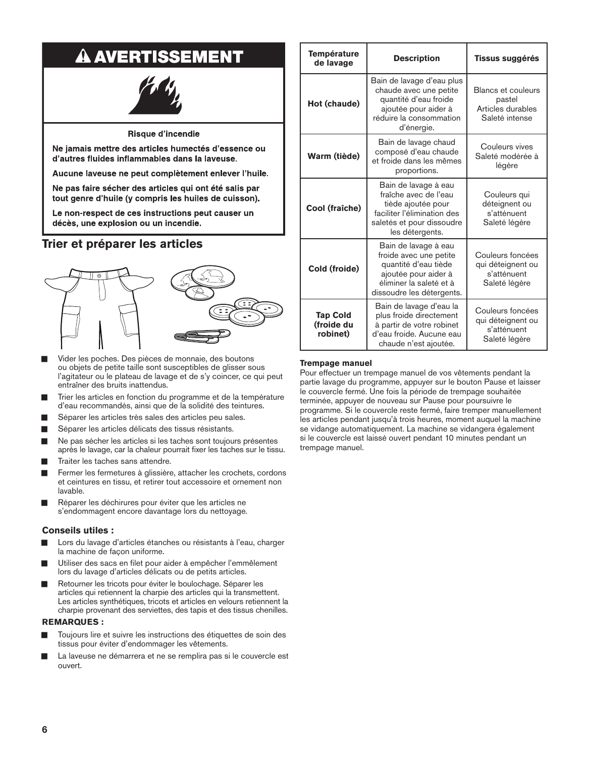# **A AVERTISSEMENT**



### Risque d'incendie

Ne jamais mettre des articles humectés d'essence ou d'autres fluides inflammables dans la laveuse.

Aucune laveuse ne peut complètement enlever l'huile.

Ne pas faire sécher des articles qui ont été salis par tout genre d'huile (y compris les huiles de cuisson).

Le non-respect de ces instructions peut causer un décès, une explosion ou un incendie.

## **Trier et préparer les articles**



- Ƀ Vider les poches. Des pièces de monnaie, des boutons ou objets de petite taille sont susceptibles de glisser sous l'agitateur ou le plateau de lavage et de s'y coincer, ce qui peut entraîner des bruits inattendus.
- Ƀ Trier les articles en fonction du programme et de la température d'eau recommandés, ainsi que de la solidité des teintures.
- Séparer les articles très sales des articles peu sales.
- Séparer les articles délicats des tissus résistants.
- Ne pas sécher les articles si les taches sont toujours présentes après le lavage, car la chaleur pourrait fixer les taches sur le tissu.
- Ƀ Traiter les taches sans attendre.
- Fermer les fermetures à glissière, attacher les crochets, cordons et ceintures en tissu, et retirer tout accessoire et ornement non lavable.
- Réparer les déchirures pour éviter que les articles ne s'endommagent encore davantage lors du nettoyage.

### **Conseils utiles :**

- Lors du lavage d'articles étanches ou résistants à l'eau, charger la machine de façon uniforme.
- Utiliser des sacs en filet pour aider à empêcher l'emmêlement lors du lavage d'articles délicats ou de petits articles.
- Retourner les tricots pour éviter le boulochage. Séparer les articles qui retiennent la charpie des articles qui la transmettent. Les articles synthétiques, tricots et articles en velours retiennent la charpie provenant des serviettes, des tapis et des tissus chenilles.

### **REMARQUES :**

- Toujours lire et suivre les instructions des étiquettes de soin des tissus pour éviter d'endommager les vêtements.
- La laveuse ne démarrera et ne se remplira pas si le couvercle est ouvert.

| <b>Température</b><br>de lavage                                                                                                                                                   | <b>Description</b>                                                                                                                                     | <b>Tissus suggérés</b>                                                     |
|-----------------------------------------------------------------------------------------------------------------------------------------------------------------------------------|--------------------------------------------------------------------------------------------------------------------------------------------------------|----------------------------------------------------------------------------|
| Hot (chaude)                                                                                                                                                                      | Bain de lavage d'eau plus<br>chaude avec une petite<br>quantité d'eau froide<br>ajoutée pour aider à<br>réduire la consommation<br>d'énergie.          | <b>Blancs et couleurs</b><br>pastel<br>Articles durables<br>Saleté intense |
| Warm (tiède)                                                                                                                                                                      | Bain de lavage chaud<br>composé d'eau chaude<br>et froide dans les mêmes<br>proportions.                                                               | Couleurs vives<br>Saleté modérée à<br>légère                               |
| Cool (fraîche)                                                                                                                                                                    | Bain de lavage à eau<br>fraîche avec de l'eau<br>tiède ajoutée pour<br>faciliter l'élimination des<br>saletés et pour dissoudre<br>les détergents.     | Couleurs qui<br>déteignent ou<br>s'atténuent<br>Saleté légère              |
| Cold (froide)                                                                                                                                                                     | Bain de lavage à eau<br>froide avec une petite<br>quantité d'eau tiède<br>ajoutée pour aider à<br>éliminer la saleté et à<br>dissoudre les détergents. | Couleurs foncées<br>qui déteignent ou<br>s'atténuent<br>Saleté légère      |
| Bain de lavage d'eau la<br>plus froide directement<br><b>Tap Cold</b><br>(froide du<br>à partir de votre robinet<br>robinet)<br>d'eau froide. Aucune eau<br>chaude n'est ajoutée. |                                                                                                                                                        | Couleurs foncées<br>qui déteignent ou<br>s'atténuent<br>Saleté légère      |

### **Trempage manuel**

Pour effectuer un trempage manuel de vos vêtements pendant la partie lavage du programme, appuyer sur le bouton Pause et laisser le couvercle fermé. Une fois la période de trempage souhaitée terminée, appuyer de nouveau sur Pause pour poursuivre le programme. Si le couvercle reste fermé, faire tremper manuellement les articles pendant jusqu'à trois heures, moment auquel la machine se vidange automatiquement. La machine se vidangera également si le couvercle est laissé ouvert pendant 10 minutes pendant un trempage manuel.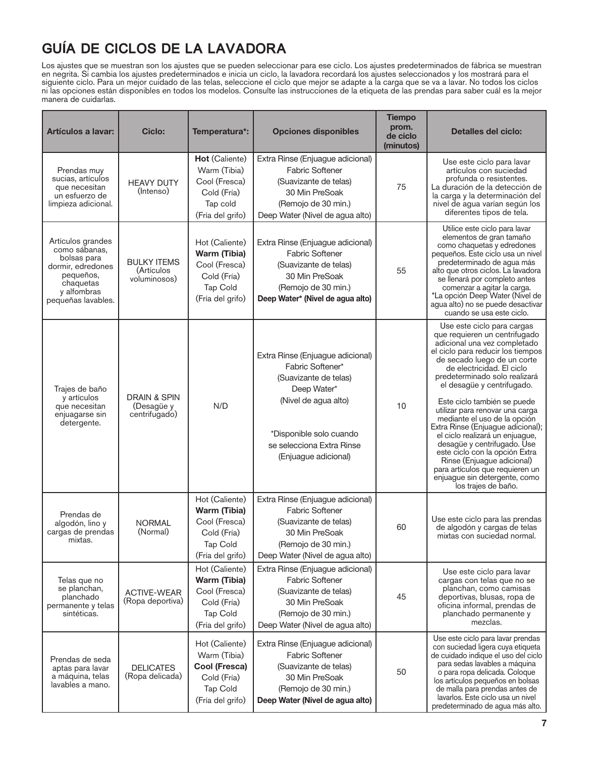## **GU**Í**A DE CICLOS DE LA LAVADORA**

Los ajustes que se muestran son los ajustes que se pueden seleccionar para ese ciclo. Los ajustes predeterminados de fábrica se muestran en negrita. Si cambia los ajustes predeterminados e inicia un ciclo, la lavadora recordará los ajustes seleccionados y los mostrará para el siguiente ciclo. Para un mejor cuidado de las telas, seleccione el ciclo que mejor se adapte a la carga que se va a lavar. No todos los ciclos ni las opciones están disponibles en todos los modelos. Consulte las instrucciones de la etiqueta de las prendas para saber cuál es la mejor manera de cuidarlas.

| <b>Artículos a lavar:</b>                                                                                                             | <b>Ciclo:</b>                                          | Temperatura*:                                                                                                | <b>Opciones disponibles</b>                                                                                                                                                                          | <b>Tiempo</b><br>prom.<br>de ciclo<br>(minutos) | <b>Detalles del ciclo:</b>                                                                                                                                                                                                                                                                                                                                                                                                                                                                                                                                                                                                      |
|---------------------------------------------------------------------------------------------------------------------------------------|--------------------------------------------------------|--------------------------------------------------------------------------------------------------------------|------------------------------------------------------------------------------------------------------------------------------------------------------------------------------------------------------|-------------------------------------------------|---------------------------------------------------------------------------------------------------------------------------------------------------------------------------------------------------------------------------------------------------------------------------------------------------------------------------------------------------------------------------------------------------------------------------------------------------------------------------------------------------------------------------------------------------------------------------------------------------------------------------------|
| Prendas muy<br>sucias, artículos<br>que necesitan<br>un esfuerzo de<br>limpieza adicional.                                            | <b>HEAVY DUTY</b><br>(Intenso)                         | Hot (Caliente)<br>Warm (Tibia)<br>Cool (Fresca)<br>Cold (Fría)<br>Tap cold<br>(Fría del grifo)               | Extra Rinse (Enjuague adicional)<br><b>Fabric Softener</b><br>(Suavizante de telas)<br>30 Min PreSoak<br>(Remojo de 30 min.)<br>Deep Water (Nivel de agua alto)                                      | 75                                              | Use este ciclo para lavar<br>artículos con suciedad<br>profunda o resistentes.<br>La duración de la detección de<br>la carga y la determinación del<br>nivel de agua varían según los<br>diferentes tipos de tela.                                                                                                                                                                                                                                                                                                                                                                                                              |
| Artículos grandes<br>como sábanas,<br>bolsas para<br>dormir, edredones<br>pequeños,<br>chaquetas<br>y alfombras<br>pequeñas lavables. | <b>BULKY ITEMS</b><br>(Artículos<br>voluminosos)       | Hot (Caliente)<br><b>Warm (Tibia)</b><br>Cool (Fresca)<br>Cold (Fría)<br>Tap Cold<br>(Fría del grifo)        | Extra Rinse (Enjuague adicional)<br><b>Fabric Softener</b><br>(Suavizante de telas)<br>30 Min PreSoak<br>(Remojo de 30 min.)<br>Deep Water* (Nivel de agua alto)                                     | 55                                              | Utilice este ciclo para lavar<br>elementos de gran tamaño<br>como chaquetas y edredones<br>pequeños. Este ciclo usa un nivel<br>predeterminado de agua más<br>alto que otros ciclos. La lavadora<br>se llenará por completo antes<br>comenzar a agitar la carga.<br>*La opción Deep Water (Nivel de<br>agua alto) no se puede desactivar<br>cuando se usa este ciclo.                                                                                                                                                                                                                                                           |
| Trajes de baño<br>y artículos<br>que necesitan<br>enjuagarse sin<br>detergente.                                                       | <b>DRAIN &amp; SPIN</b><br>(Desagüe y<br>centrifugado) | N/D                                                                                                          | Extra Rinse (Enjuague adicional)<br>Fabric Softener*<br>(Suavizante de telas)<br>Deep Water*<br>(Nivel de agua alto)<br>*Disponible solo cuando<br>se selecciona Extra Rinse<br>(Enjuague adicional) | 10                                              | Use este ciclo para cargas<br>que requieren un centrifugado<br>adicional una vez completado<br>el ciclo para reducir los tiempos<br>de secado luego de un corte<br>de electricidad. El ciclo<br>predeterminado solo realizará<br>el desagüe y centrifugado.<br>Este ciclo también se puede<br>utilizar para renovar una carga<br>mediante el uso de la opción<br>Extra Rinse (Enjuague adicional);<br>el ciclo realizará un enjuague,<br>desagüe y centrifugado. Use<br>este ciclo con la opción Extra<br>Rinse (Enjuague adicional)<br>para artículos que requieren un<br>enjuague sin detergente, como<br>los trajes de baño. |
| Prendas de<br>algodón, lino y<br>cargas de prendas<br>mixtas.                                                                         | <b>NORMAL</b><br>(Normal)                              | Hot (Caliente)<br><b>Warm (Tibia)</b><br>Cool (Fresca)<br>Cold (Fría)<br><b>Tap Cold</b><br>(Fría del grifo) | Extra Rinse (Enjuague adicional)<br><b>Fabric Softener</b><br>(Suavizante de telas)<br>30 Min PreSoak<br>(Remojo de 30 min.)<br>Deep Water (Nivel de agua alto)                                      | 60                                              | Use este ciclo para las prendas<br>de algodón y cargas de telas<br>mixtas con suciedad normal.                                                                                                                                                                                                                                                                                                                                                                                                                                                                                                                                  |
| Telas que no<br>se planchan,<br>planchado<br>permanente y telas<br>sintéticas.                                                        | <b>ACTIVE-WEAR</b><br>(Ropa deportiva)                 | Hot (Caliente)<br>Warm (Tibia)<br>Cool (Fresca)<br>Cold (Fría)<br><b>Tap Cold</b><br>(Fría del grifo)        | Extra Rinse (Enjuague adicional)<br><b>Fabric Softener</b><br>(Suavizante de telas)<br>30 Min PreSoak<br>(Remojo de 30 min.)<br>Deep Water (Nivel de agua alto)                                      | 45                                              | Use este ciclo para lavar<br>cargas con telas que no se<br>planchan, como camisas<br>deportivas, blusas, ropa de<br>oficina informal, prendas de<br>planchado permanente y<br>mezclas.                                                                                                                                                                                                                                                                                                                                                                                                                                          |
| Prendas de seda<br>aptas para lavar<br>a máquina, telas<br>lavables a mano.                                                           | <b>DELICATES</b><br>(Ropa delicada)                    | Hot (Caliente)<br>Warm (Tibia)<br>Cool (Fresca)<br>Cold (Fría)<br>Tap Cold<br>(Fría del grifo)               | Extra Rinse (Enjuague adicional)<br><b>Fabric Softener</b><br>(Suavizante de telas)<br>30 Min PreSoak<br>(Remojo de 30 min.)<br>Deep Water (Nivel de agua alto)                                      | 50                                              | Use este ciclo para lavar prendas<br>con suciedad ligera cuya etiqueta<br>de cuidado indique el uso del ciclo<br>para sedas lavables a máquina<br>o para ropa delicada. Coloque<br>los artículos pequeños en bolsas<br>de malla para prendas antes de<br>lavarlos. Este ciclo usa un nivel<br>predeterminado de agua más alto.                                                                                                                                                                                                                                                                                                  |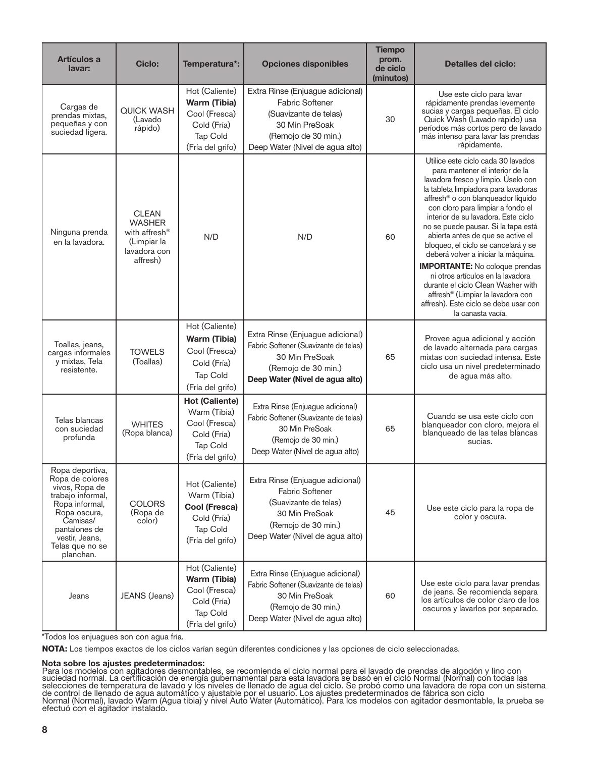| Artículos a<br>lavar:                                                                                                                                                                      | <b>Ciclo:</b>                                                                                         | Temperatura*:                                                                                         | <b>Opciones disponibles</b>                                                                                                                                     | <b>Tiempo</b><br>prom.<br>de ciclo<br>(minutos) | <b>Detalles del ciclo:</b>                                                                                                                                                                                                                                                                                                                                                                                                                                                                                                                                                                                                                                          |
|--------------------------------------------------------------------------------------------------------------------------------------------------------------------------------------------|-------------------------------------------------------------------------------------------------------|-------------------------------------------------------------------------------------------------------|-----------------------------------------------------------------------------------------------------------------------------------------------------------------|-------------------------------------------------|---------------------------------------------------------------------------------------------------------------------------------------------------------------------------------------------------------------------------------------------------------------------------------------------------------------------------------------------------------------------------------------------------------------------------------------------------------------------------------------------------------------------------------------------------------------------------------------------------------------------------------------------------------------------|
| Cargas de<br>prendas mixtas,<br>pequeñas y con<br>suciedad ligera.                                                                                                                         | <b>QUICK WASH</b><br>(Lavado<br>rápido)                                                               | Hot (Caliente)<br>Warm (Tibia)<br>Cool (Fresca)<br>Cold (Fría)<br>Tap Cold<br>(Fría del grifo)        | Extra Rinse (Enjuague adicional)<br><b>Fabric Softener</b><br>(Suavizante de telas)<br>30 Min PreSoak<br>(Remojo de 30 min.)<br>Deep Water (Nivel de agua alto) | 30                                              | Use este ciclo para lavar<br>rápidamente prendas levemente<br>sucias y cargas pequeñas. El ciclo<br>Quick Wash (Lavado rápido) usa<br>períodos más cortos pero de lavado<br>más intenso para lavar las prendas<br>rápidamente.                                                                                                                                                                                                                                                                                                                                                                                                                                      |
| Ninguna prenda<br>en la lavadora.                                                                                                                                                          | <b>CLEAN</b><br><b>WASHER</b><br>with affresh <sup>®</sup><br>(Limpiar la<br>lavadora con<br>affresh) | N/D                                                                                                   | N/D                                                                                                                                                             | 60                                              | Utilice este ciclo cada 30 lavados<br>para mantener el interior de la<br>lavadora fresco y limpio. Úselo con<br>la tableta limpiadora para lavadoras<br>affresh <sup>®</sup> o con blanqueador líquido<br>con cloro para limpiar a fondo el<br>interior de su lavadora. Este ciclo<br>no se puede pausar. Si la tapa está<br>abierta antes de que se active el<br>bloqueo, el ciclo se cancelará y se<br>deberá volver a iniciar la máquina.<br><b>IMPORTANTE:</b> No coloque prendas<br>ni otros artículos en la lavadora<br>durante el ciclo Clean Washer with<br>affresh® (Limpiar la lavadora con<br>affresh). Este ciclo se debe usar con<br>la canasta vacía. |
| Toallas, jeans,<br>cargas informales<br>y mixtas, Tela<br>resistente.                                                                                                                      | <b>TOWELS</b><br>(Toallas)                                                                            | Hot (Caliente)<br><b>Warm (Tibia)</b><br>Cool (Fresca)<br>Cold (Fría)<br>Tap Cold<br>(Fría del grifo) | Extra Rinse (Enjuague adicional)<br>Fabric Softener (Suavizante de telas)<br>30 Min PreSoak<br>(Remojo de 30 min.)<br>Deep Water (Nivel de agua alto)           | 65                                              | Provee agua adicional y acción<br>de lavado alternada para cargas<br>mixtas con suciedad intensa. Este<br>ciclo usa un nivel predeterminado<br>de agua más alto.                                                                                                                                                                                                                                                                                                                                                                                                                                                                                                    |
| Telas blancas<br>con suciedad<br>profunda                                                                                                                                                  | <b>WHITES</b><br>(Ropa blanca)                                                                        | <b>Hot (Caliente)</b><br>Warm (Tibia)<br>Cool (Fresca)<br>Cold (Fría)<br>Tap Cold<br>(Fría del grifo) | Extra Rinse (Enjuague adicional)<br>Fabric Softener (Suavizante de telas)<br>30 Min PreSoak<br>(Remojo de 30 min.)<br>Deep Water (Nivel de agua alto)           | 65                                              | Cuando se usa este ciclo con<br>blanqueador con cloro, mejora el<br>blanqueado de las telas blancas<br>sucias.                                                                                                                                                                                                                                                                                                                                                                                                                                                                                                                                                      |
| Ropa deportiva,<br>Ropa de colores<br>vivos, Ropa de<br>trabajo informal,<br>Ropa informal,<br>Ropa oscura,<br>Camisas/<br>pantalones de<br>vestir, Jeans,<br>Telas que no se<br>planchan. | <b>COLORS</b><br>(Ropa de<br>color)                                                                   | Hot (Caliente)<br>Warm (Tibia)<br>Cool (Fresca)<br>Cold (Fría)<br>Tap Cold<br>(Fría del grifo)        | Extra Rinse (Enjuague adicional)<br><b>Fabric Softener</b><br>(Suavizante de telas)<br>30 Min PreSoak<br>(Remojo de 30 min.)<br>Deep Water (Nivel de agua alto) | 45                                              | Use este ciclo para la ropa de<br>color y oscura.                                                                                                                                                                                                                                                                                                                                                                                                                                                                                                                                                                                                                   |
| Jeans                                                                                                                                                                                      | JEANS (Jeans)                                                                                         | Hot (Caliente)<br><b>Warm (Tibia)</b><br>Cool (Fresca)<br>Cold (Fría)<br>Tap Cold<br>(Fría del grifo) | Extra Rinse (Enjuague adicional)<br>Fabric Softener (Suavizante de telas)<br>30 Min PreSoak<br>(Remojo de 30 min.)<br>Deep Water (Nivel de agua alto)           | 60                                              | Use este ciclo para lavar prendas<br>de jeans. Se recomienda separa<br>los artículos de color claro de los<br>oscuros y lavarlos por separado.                                                                                                                                                                                                                                                                                                                                                                                                                                                                                                                      |

\*Todos los enjuagues son con agua fría.

**NOTA:** Los tiempos exactos de los ciclos varían según diferentes condiciones y las opciones de ciclo seleccionadas.

#### Nota sobre los ajustes predeterminados:

Para los modelos con agitadores desmontables, se recomienda el ciclo normal para el lavado de prendas de algodón y lino con suciedad normal. La certificación de energía gubernamental para esta lavadora se basó en el ciclo Normal (Normal) con todas las selecciones de temperatura de lavado y los niveles de llenado de agua del ciclo. Se probó como una lavadora de rópa con un sistema de control de llenado de agua automático y ajustable por el usuario. Los ajustes predeterminados de fábrica son ciclo Normal (Normal), lavado Warm (Agua tibia) y nivel Auto Water (Automático). Para los modelos con agitador desmontable, la prueba se efectuó con el agitador instalado.